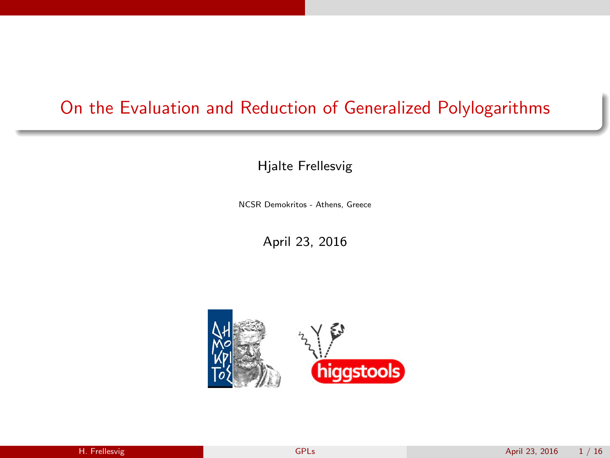### On the Evaluation and Reduction of Generalized Polylogarithms

Hjalte Frellesvig

NCSR Demokritos - Athens, Greece

<span id="page-0-0"></span>April 23, 2016

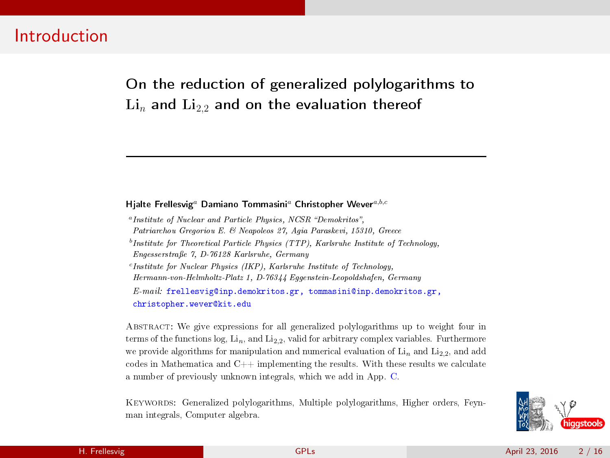#### Introduction

On the reduction of generalized polylogarithms to  $\mathrm{Li}_{n}$  and  $\mathrm{Li}_{2,2}$  and on the evaluation thereof

#### Hialte Frellesvig<sup>a</sup> Damiano Tommasini<sup>a</sup> Christopher Wever<sup>a,b,c</sup>

<sup>a</sup> Institute of Nuclear and Particle Physics, NCSR "Demokritos", Patriarchou Gregoriou E. & Neapoleos 27, Agia Paraskevi, 15310, Greece  $<sup>b</sup>$ Institute for Theoretical Particle Physics (TTP), Karlsruhe Institute of Technology</sup> Engesserstraÿe 7, D-76128 Karlsruhe, Germany  $c$ Institute for Nuclear Physics (IKP), Karlsruhe Institute of Technology Hermann-von-Helmholtz-Platz 1, D-76344 Eggenstein-Leopoldshafen, Germany E-mail: frellesvig@inp.demokritos.gr, tommasini@inp.demokritos.gr, christopher.wever@kit.edu

Abstract: We give expressions for all generalized polylogarithms up to weight four in terms of the functions  $log$ ,  $Li_n$ , and  $Li_{2,2}$ , valid for arbitrary complex variables. Furthermore we provide algorithms for manipulation and numerical evaluation of  $\mathrm{Li}_n$  and  $\mathrm{Li}_{2,2}$ , and add codes in Mathematica and C++ implementing the results. With these results we calculate a number of previously unknown integrals, which we add in App. C.

Keywords: Generalized polylogarithms, Multiple polylogarithms, Higher orders, Feynman integrals, Computer algebra.

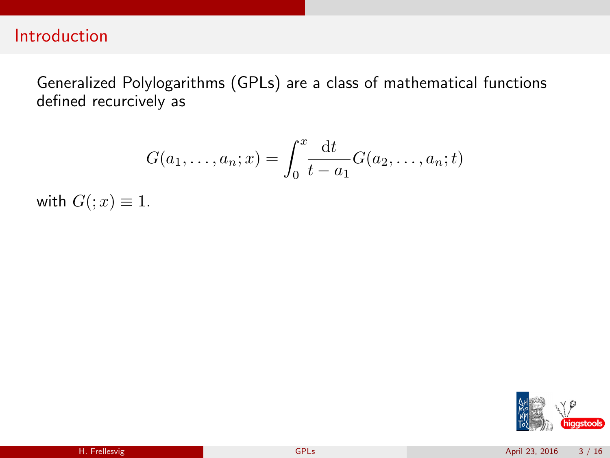#### Introduction

Generalized Polylogarithms (GPLs) are a class of mathematical functions defined recurcively as

$$
G(a_1,\ldots,a_n;x) = \int_0^x \frac{\mathrm{d}t}{t-a_1} G(a_2,\ldots,a_n;t)
$$

with  $G( ; x) \equiv 1.$ 

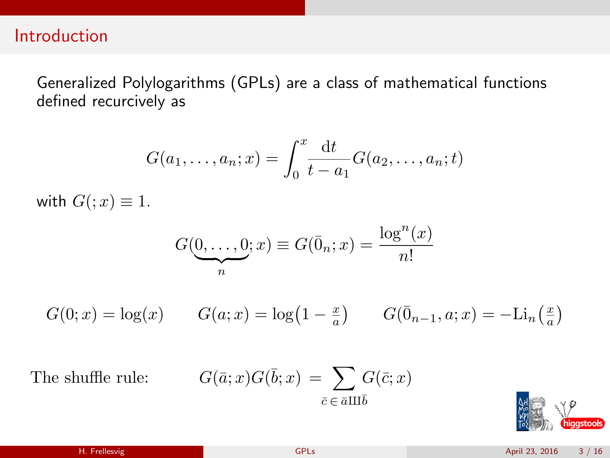#### Introduction

Generalized Polylogarithms (GPLs) are a class of mathematical functions defined recurcively as

$$
G(a_1,\ldots,a_n;x) = \int_0^x \frac{\mathrm{d}t}{t-a_1} G(a_2,\ldots,a_n;t)
$$

with  $G( ; x) \equiv 1.$ 

$$
G(\underbrace{0,\ldots,0}_{n};x) \equiv G(\overline{0}_{n};x) = \frac{\log^{n}(x)}{n!}
$$

$$
G(0;x)=\log(x) \qquad G(a;x)=\log\left(1-\tfrac{x}{a}\right) \qquad G(\bar{0}_{n-1},a;x)=-\mathrm{Li}_n\left(\tfrac{x}{a}\right)
$$

The shuffle rule:  $\bar{b}; x$  =  $\sum G(\bar{c}; x)$  $\bar{c} \in \bar{a} \amalg \bar{b}$ 

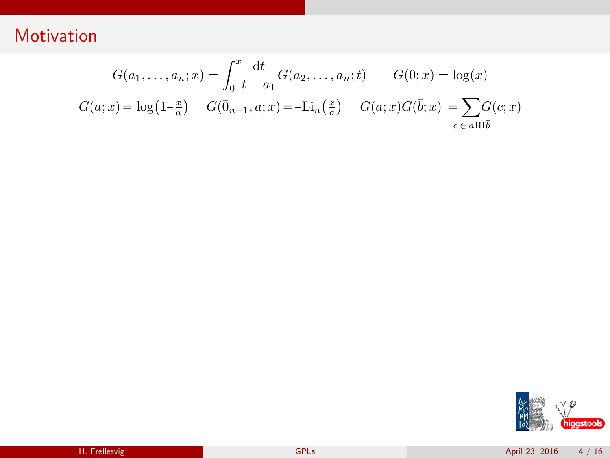$$
G(a_1, ..., a_n; x) = \int_0^x \frac{dt}{t - a_1} G(a_2, ..., a_n; t) \qquad G(0; x) = \log(x)
$$
  

$$
G(a; x) = \log(1 - \frac{x}{a}) \qquad G(\bar{0}_{n-1}, a; x) = -\text{Li}_n(\frac{x}{a}) \qquad G(\bar{a}; x)G(\bar{b}; x) = \sum_{\bar{c} \in \bar{a} \amalg \bar{b}} G(\bar{c}; x)
$$

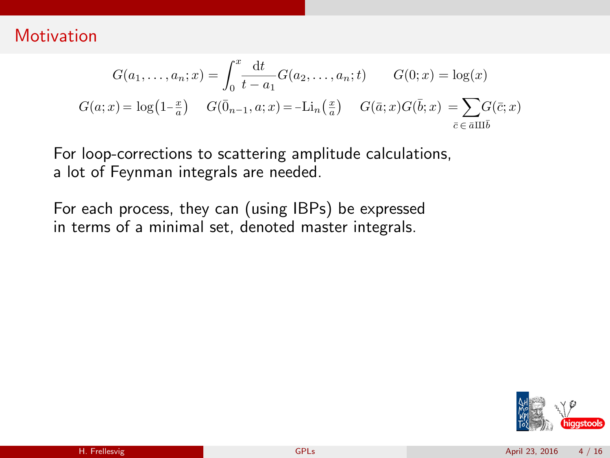$$
G(a_1, ..., a_n; x) = \int_0^x \frac{dt}{t - a_1} G(a_2, ..., a_n; t) \qquad G(0; x) = \log(x)
$$
  

$$
G(a; x) = \log(1 - \frac{x}{a}) \qquad G(\bar{0}_{n-1}, a; x) = -\text{Li}_n(\frac{x}{a}) \qquad G(\bar{a}; x)G(\bar{b}; x) = \sum_{\bar{c} \in \bar{a} \amalg \bar{b}} G(\bar{c}; x)
$$

For loop-corrections to scattering amplitude calculations, a lot of Feynman integrals are needed.

For each process, they can (using IBPs) be expressed in terms of a minimal set, denoted master integrals.

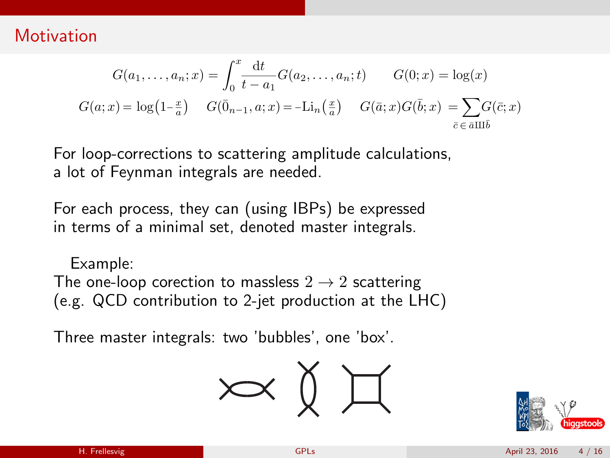$$
G(a_1, ..., a_n; x) = \int_0^x \frac{dt}{t - a_1} G(a_2, ..., a_n; t) \qquad G(0; x) = \log(x)
$$
  

$$
G(a; x) = \log(1 - \frac{x}{a}) \qquad G(\bar{0}_{n-1}, a; x) = -\text{Li}_n(\frac{x}{a}) \qquad G(\bar{a}; x)G(\bar{b}; x) = \sum_{\bar{c} \in \bar{a} \amalg \bar{b}} G(\bar{c}; x)
$$

For loop-corrections to scattering amplitude calculations, a lot of Feynman integrals are needed.

For each process, they can (using IBPs) be expressed in terms of a minimal set, denoted master integrals.

 $\mathcal{L}$ . Freellesvig Gels April 7, 2016 3  $\mathcal{L}$ Example: The one-loop corection to massless  $2 \rightarrow 2$  scattering (e.g. QCD contribution to 2-jet production at the LHC)

Three master integrals: two 'bubbles', one 'box'.



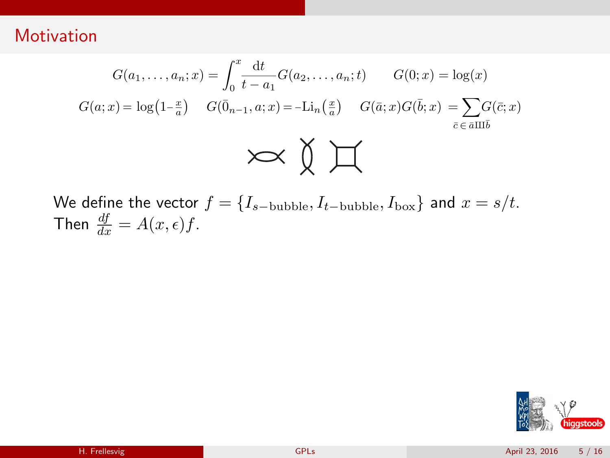$$
G(a_1, \ldots, a_n; x) = \int_0^x \frac{\mathrm{d}t}{t - a_1} G(a_2, \ldots, a_n; t) \qquad G(0; x) = \log(x)
$$

$$
G(a; x) = \log(1 - \frac{x}{a}) \qquad G(\bar{0}_{n-1}, a; x) = -\mathrm{Li}_n\left(\frac{x}{a}\right) \qquad G(\bar{a}; x)G(\bar{b}; x) = \sum_{\bar{c} \in \bar{a} \amalg \bar{b}} G(\bar{c}; x)
$$

We define the vector  $f = \{I_{s-\text{bubble}}, I_{t-\text{bubble}}, I_{\text{box}}\}$  and  $x = s/t$ . Then  $\frac{df}{dx} = A(x, \epsilon) f$ .

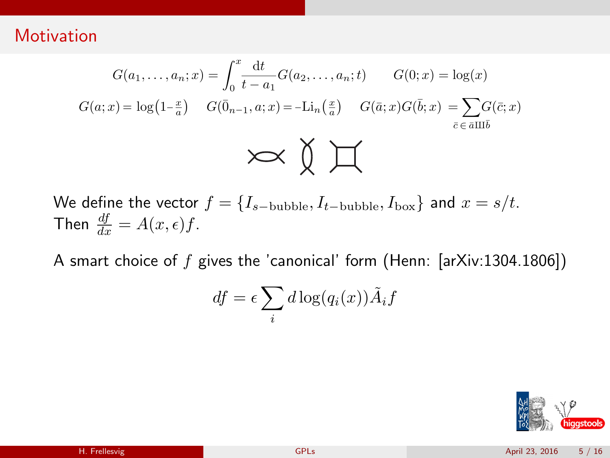$$
G(a_1, \dots, a_n; x) = \int_0^x \frac{\mathrm{d}t}{t - a_1} G(a_2, \dots, a_n; t) \qquad G(0; x) = \log(x)
$$

$$
G(a; x) = \log(1 - \frac{x}{a}) \qquad G(\bar{0}_{n-1}, a; x) = -\mathrm{Li}_n\left(\frac{x}{a}\right) \qquad G(\bar{a}; x) G(\bar{b}; x) = \sum_{\bar{c} \in \bar{a} \amalg \bar{b}} G(\bar{c}; x)
$$

We define the vector  $f = \{I_{s-\text{bubble}}, I_{t-\text{bubble}}, I_{\text{box}}\}$  and  $x = s/t$ . Then  $\frac{df}{dx} = A(x, \epsilon) f$ .

A smart choice of  $f$  gives the 'canonical' form (Henn: [arXiv:1304.1806])

$$
df = \epsilon \sum_{i} d \log(q_i(x)) \tilde{A}_i f
$$

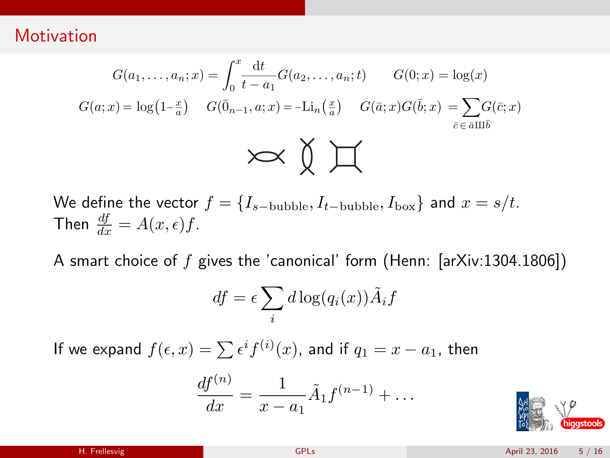$$
G(a_1, \dots, a_n; x) = \int_0^x \frac{\mathrm{d}t}{t - a_1} G(a_2, \dots, a_n; t) \qquad G(0; x) = \log(x)
$$

$$
G(a; x) = \log(1 - \frac{x}{a}) \qquad G(\bar{0}_{n-1}, a; x) = -\mathrm{Li}_n\left(\frac{x}{a}\right) \qquad G(\bar{a}; x) G(\bar{b}; x) = \sum_{\bar{c} \in \bar{a} \amalg \bar{b}} G(\bar{c}; x)
$$

We define the vector  $f = \{I_{s-\text{bubble}}, I_{t-\text{bubble}}, I_{\text{box}}\}$  and  $x = s/t$ . Then  $\frac{df}{dx} = A(x, \epsilon) f$ .

A smart choice of  $f$  gives the 'canonical' form (Henn: [arXiv:1304.1806])

$$
df = \epsilon \sum_{i} d \log(q_i(x)) \tilde{A}_i f
$$

If we expand  $f(\epsilon, x) = \sum \epsilon^i f^{(i)}(x)$ , and if  $q_1 = x - a_1$ , then

$$
\frac{df^{(n)}}{dx} = \frac{1}{x - a_1} \tilde{A}_1 f^{(n-1)} + \dots
$$

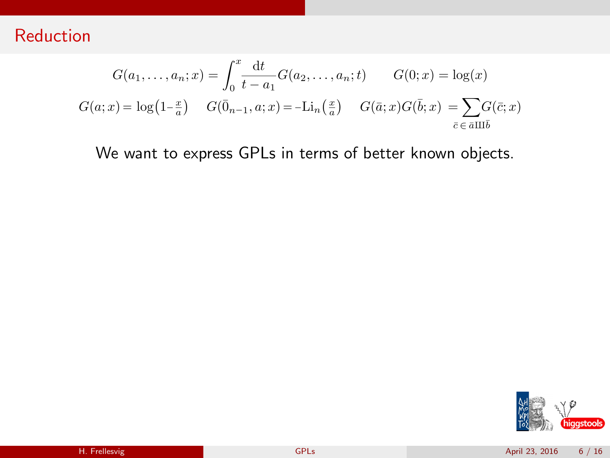$$
G(a_1, ..., a_n; x) = \int_0^x \frac{dt}{t - a_1} G(a_2, ..., a_n; t) \qquad G(0; x) = \log(x)
$$
  

$$
G(a; x) = \log(1 - \frac{x}{a}) \qquad G(\bar{0}_{n-1}, a; x) = -\text{Li}_n(\frac{x}{a}) \qquad G(\bar{a}; x)G(\bar{b}; x) = \sum_{\bar{c} \in \bar{a} \amalg \bar{b}} G(\bar{c}; x)
$$

We want to express GPLs in terms of better known objects.

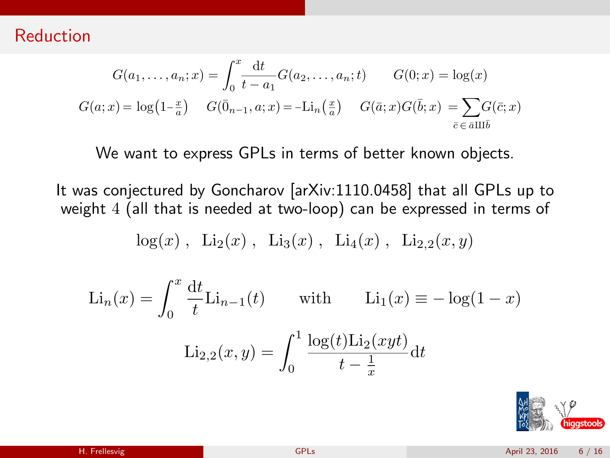$$
G(a_1, ..., a_n; x) = \int_0^x \frac{dt}{t - a_1} G(a_2, ..., a_n; t) \qquad G(0; x) = \log(x)
$$
  

$$
G(a; x) = \log(1 - \frac{x}{a}) \qquad G(\bar{0}_{n-1}, a; x) = -\text{Li}_n(\frac{x}{a}) \qquad G(\bar{a}; x)G(\bar{b}; x) = \sum_{\bar{c} \in \bar{a} \amalg \bar{b}} G(\bar{c}; x)
$$

We want to express GPLs in terms of better known objects.

It was conjectured by Goncharov [arXiv:1110.0458] that all GPLs up to weight 4 (all that is needed at two-loop) can be expressed in terms of

$$
log(x)
$$
,  $Li_2(x)$ ,  $Li_3(x)$ ,  $Li_4(x)$ ,  $Li_{2,2}(x, y)$ 

$$
\text{Li}_n(x) = \int_0^x \frac{\mathrm{d}t}{t} \text{Li}_{n-1}(t) \quad \text{with} \quad \text{Li}_1(x) \equiv -\log(1-x)
$$
\n
$$
\text{Li}_{2,2}(x,y) = \int_0^1 \frac{\log(t)\text{Li}_2(xyt)}{t - \frac{1}{x}} \mathrm{d}t
$$

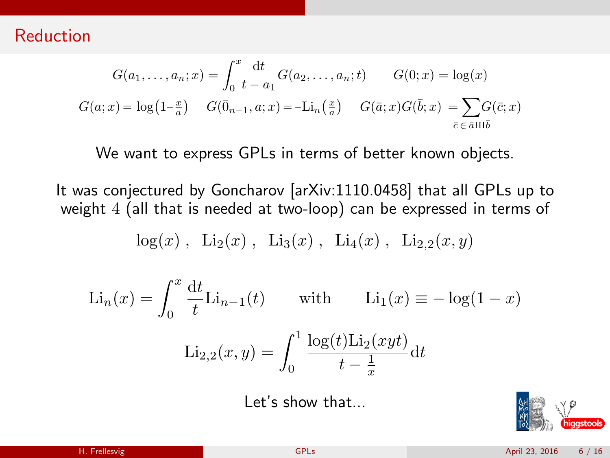$$
G(a_1, ..., a_n; x) = \int_0^x \frac{dt}{t - a_1} G(a_2, ..., a_n; t) \qquad G(0; x) = \log(x)
$$
  

$$
G(a; x) = \log(1 - \frac{x}{a}) \qquad G(\bar{0}_{n-1}, a; x) = -\text{Li}_n(\frac{x}{a}) \qquad G(\bar{a}; x)G(\bar{b}; x) = \sum_{\bar{c} \in \bar{a} \amalg \bar{b}} G(\bar{c}; x)
$$

We want to express GPLs in terms of better known objects.

It was conjectured by Goncharov [arXiv:1110.0458] that all GPLs up to weight 4 (all that is needed at two-loop) can be expressed in terms of

$$
log(x)
$$
,  $Li_2(x)$ ,  $Li_3(x)$ ,  $Li_4(x)$ ,  $Li_{2,2}(x, y)$ 

$$
\text{Li}_n(x) = \int_0^x \frac{\mathrm{d}t}{t} \text{Li}_{n-1}(t) \quad \text{with} \quad \text{Li}_1(x) \equiv -\log(1-x)
$$
\n
$$
\text{Li}_{2,2}(x,y) = \int_0^1 \frac{\log(t)\text{Li}_2(xyt)}{t - \frac{1}{x}} \mathrm{d}t
$$

Let's show that...

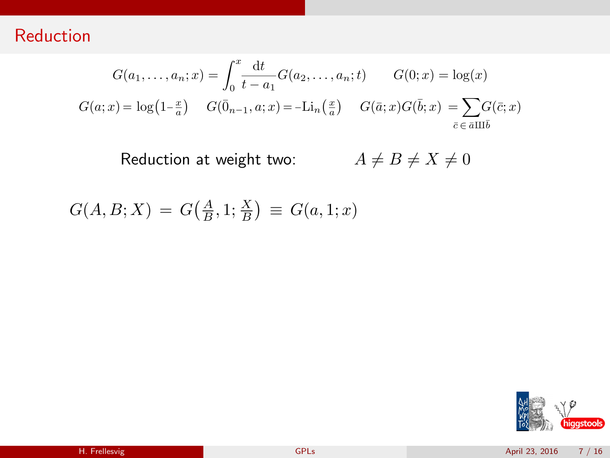$$
G(a_1, ..., a_n; x) = \int_0^x \frac{dt}{t - a_1} G(a_2, ..., a_n; t) \qquad G(0; x) = \log(x)
$$
  

$$
G(a; x) = \log(1 - \frac{x}{a}) \qquad G(\bar{0}_{n-1}, a; x) = -\text{Li}_n(\frac{x}{a}) \qquad G(\bar{a}; x)G(\bar{b}; x) = \sum_{\bar{c} \in \bar{a} \amalg \bar{b}} G(\bar{c}; x)
$$

Reduction at weight two:  $A \neq B \neq X \neq 0$ 

 $G(A, B; X) = G(\frac{A}{B}, 1; \frac{X}{B}) \equiv G(a, 1; x)$ 

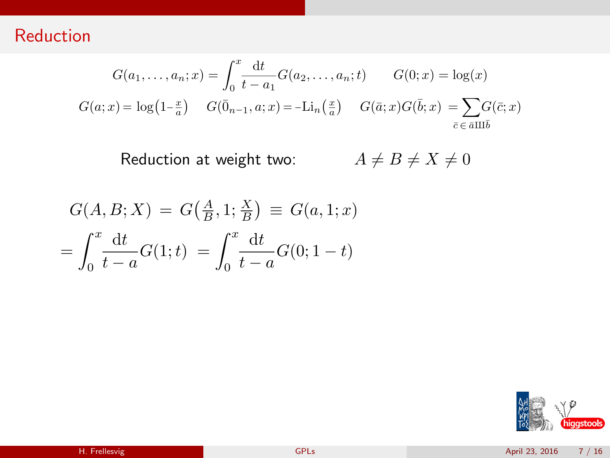$$
G(a_1, \dots, a_n; x) = \int_0^x \frac{\mathrm{d}t}{t - a_1} G(a_2, \dots, a_n; t) \qquad G(0; x) = \log(x)
$$

$$
G(a; x) = \log(1 - \frac{x}{a}) \qquad G(\bar{0}_{n-1}, a; x) = -\mathrm{Li}_n\left(\frac{x}{a}\right) \qquad G(\bar{a}; x)G(\bar{b}; x) = \sum_{\bar{c} \in \bar{a} \amalg \bar{b}} G(\bar{c}; x)
$$

$$
G(A, B; X) = G(\frac{A}{B}, 1; \frac{X}{B}) \equiv G(a, 1; x)
$$
  
= 
$$
\int_0^x \frac{dt}{t-a} G(1; t) = \int_0^x \frac{dt}{t-a} G(0; 1-t)
$$

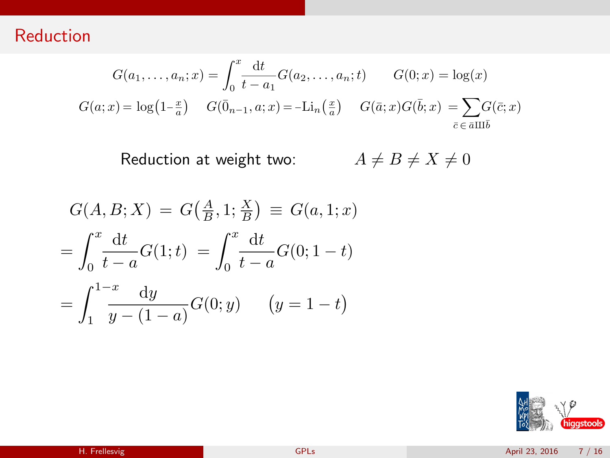$$
G(a_1, \dots, a_n; x) = \int_0^x \frac{\mathrm{d}t}{t - a_1} G(a_2, \dots, a_n; t) \qquad G(0; x) = \log(x)
$$

$$
G(a; x) = \log(1 - \frac{x}{a}) \qquad G(\bar{0}_{n-1}, a; x) = -\mathrm{Li}_n\left(\frac{x}{a}\right) \qquad G(\bar{a}; x)G(\bar{b}; x) = \sum_{\bar{c} \in \bar{a} \amalg \bar{b}} G(\bar{c}; x)
$$

$$
G(A, B; X) = G(\frac{A}{B}, 1; \frac{X}{B}) \equiv G(a, 1; x)
$$
  
= 
$$
\int_0^x \frac{dt}{t-a} G(1; t) = \int_0^x \frac{dt}{t-a} G(0; 1-t)
$$
  
= 
$$
\int_1^{1-x} \frac{dy}{y-(1-a)} G(0; y) \qquad (y = 1-t)
$$

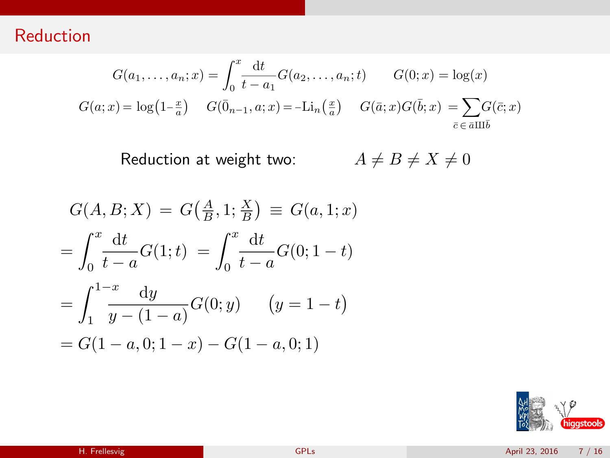$$
G(a_1, \dots, a_n; x) = \int_0^x \frac{\mathrm{d}t}{t - a_1} G(a_2, \dots, a_n; t) \qquad G(0; x) = \log(x)
$$

$$
G(a; x) = \log\left(1 - \frac{x}{a}\right) \quad G(\bar{0}_{n-1}, a; x) = -\mathrm{Li}_n\left(\frac{x}{a}\right) \quad G(\bar{a}; x)G(\bar{b}; x) = \sum_{\bar{c} \in \bar{a} \amalg \bar{b}} G(\bar{c}; x)
$$

$$
G(A, B; X) = G(\frac{A}{B}, 1; \frac{X}{B}) \equiv G(a, 1; x)
$$
  
= 
$$
\int_0^x \frac{dt}{t-a} G(1; t) = \int_0^x \frac{dt}{t-a} G(0; 1-t)
$$
  
= 
$$
\int_1^{1-x} \frac{dy}{y-(1-a)} G(0; y) \qquad (y = 1 - t)
$$
  
= 
$$
G(1 - a, 0; 1 - x) - G(1 - a, 0; 1)
$$

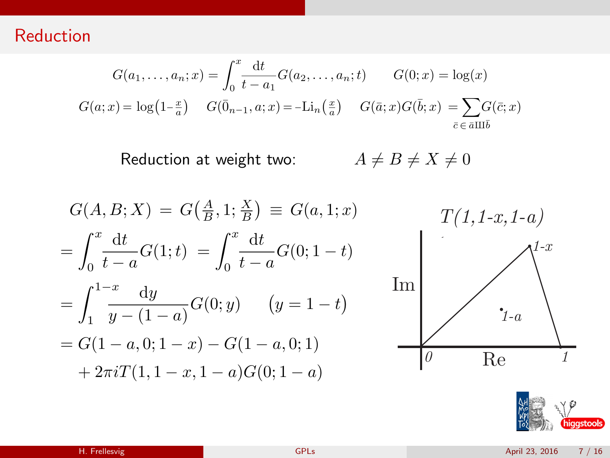$$
G(a_1, \dots, a_n; x) = \int_0^x \frac{\mathrm{d}t}{t - a_1} G(a_2, \dots, a_n; t) \qquad G(0; x) = \log(x)
$$

$$
G(a; x) = \log\left(1 - \frac{x}{a}\right) \quad G(\bar{0}_{n-1}, a; x) = -\mathrm{Li}_n\left(\frac{x}{a}\right) \quad G(\bar{a}; x)G(\bar{b}; x) = \sum_{\bar{c} \in \bar{a} \amalg \bar{b}} G(\bar{c}; x)
$$



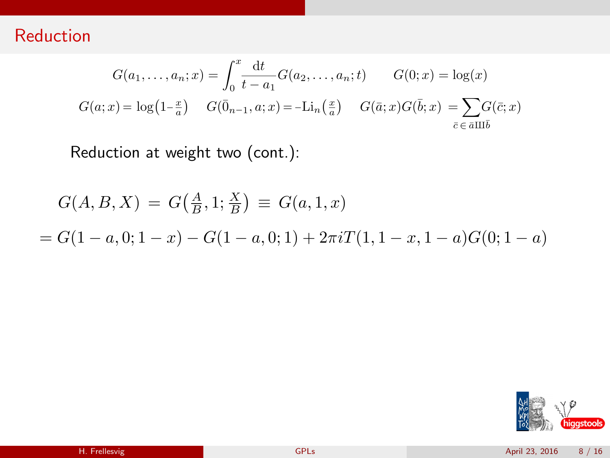$$
G(a_1, ..., a_n; x) = \int_0^x \frac{dt}{t - a_1} G(a_2, ..., a_n; t) \qquad G(0; x) = \log(x)
$$
  

$$
G(a; x) = \log(1 - \frac{x}{a}) \qquad G(\bar{0}_{n-1}, a; x) = -\text{Li}_n(\frac{x}{a}) \qquad G(\bar{a}; x)G(\bar{b}; x) = \sum_{\bar{c} \in \bar{a} \amalg \bar{b}} G(\bar{c}; x)
$$

Reduction at weight two (cont.):

$$
G(A, B, X) = G(\frac{A}{B}, 1; \frac{X}{B}) \equiv G(a, 1, x)
$$
  
=  $G(1 - a, 0; 1 - x) - G(1 - a, 0; 1) + 2\pi i T(1, 1 - x, 1 - a)G(0; 1 - a)$ 

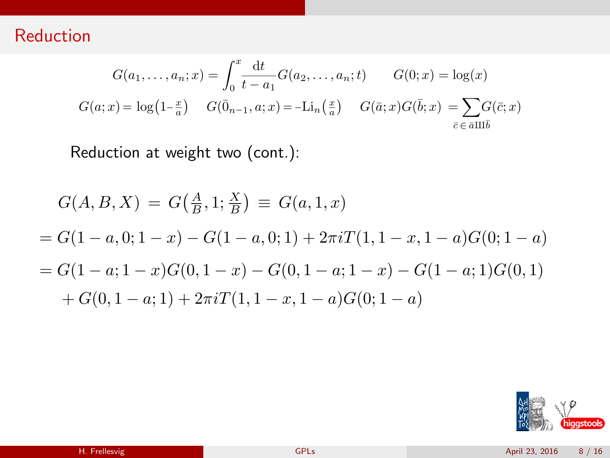$$
G(a_1, \dots, a_n; x) = \int_0^x \frac{\mathrm{d}t}{t - a_1} G(a_2, \dots, a_n; t) \qquad G(0; x) = \log(x)
$$

$$
G(a; x) = \log(1 - \frac{x}{a}) \qquad G(\bar{0}_{n-1}, a; x) = -\mathrm{Li}_n\left(\frac{x}{a}\right) \qquad G(\bar{a}; x)G(\bar{b}; x) = \sum_{\bar{c} \in \bar{a} \amalg \bar{b}} G(\bar{c}; x)
$$

Reduction at weight two (cont.):

$$
G(A, B, X) = G(\frac{A}{B}, 1; \frac{X}{B}) \equiv G(a, 1, x)
$$
  
=  $G(1 - a, 0; 1 - x) - G(1 - a, 0; 1) + 2\pi i T(1, 1 - x, 1 - a)G(0; 1 - a)$   
=  $G(1 - a; 1 - x)G(0, 1 - x) - G(0, 1 - a; 1 - x) - G(1 - a; 1)G(0, 1)$   
+  $G(0, 1 - a; 1) + 2\pi i T(1, 1 - x, 1 - a)G(0; 1 - a)$ 

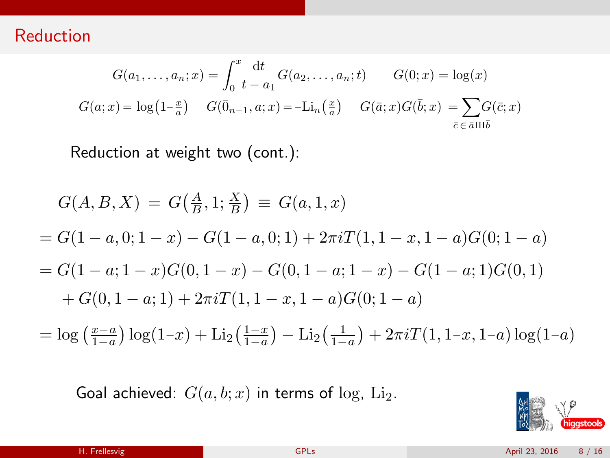$$
G(a_1, ..., a_n; x) = \int_0^x \frac{dt}{t - a_1} G(a_2, ..., a_n; t) \qquad G(0; x) = \log(x)
$$
  

$$
G(a; x) = \log(1 - \frac{x}{a}) \qquad G(\bar{0}_{n-1}, a; x) = -\text{Li}_n(\frac{x}{a}) \qquad G(\bar{a}; x)G(\bar{b}; x) = \sum_{\bar{c} \in \bar{a} \amalg \bar{b}} G(\bar{c}; x)
$$

Reduction at weight two (cont.):

$$
G(A, B, X) = G(\frac{A}{B}, 1; \frac{X}{B}) \equiv G(a, 1, x)
$$
  
=  $G(1 - a, 0; 1 - x) - G(1 - a, 0; 1) + 2\pi i T(1, 1 - x, 1 - a)G(0; 1 - a)$   
=  $G(1 - a; 1 - x)G(0, 1 - x) - G(0, 1 - a; 1 - x) - G(1 - a; 1)G(0, 1)$   
+  $G(0, 1 - a; 1) + 2\pi i T(1, 1 - x, 1 - a)G(0; 1 - a)$ 

$$
= \log \left( \frac{x-a}{1-a} \right) \log(1-x) + \text{Li}_2\left( \frac{1-x}{1-a} \right) - \text{Li}_2\left( \frac{1}{1-a} \right) + 2\pi i T(1, 1-x, 1-a) \log(1-a)
$$

Goal achieved:  $G(a, b; x)$  in terms of log, Li<sub>2</sub>.

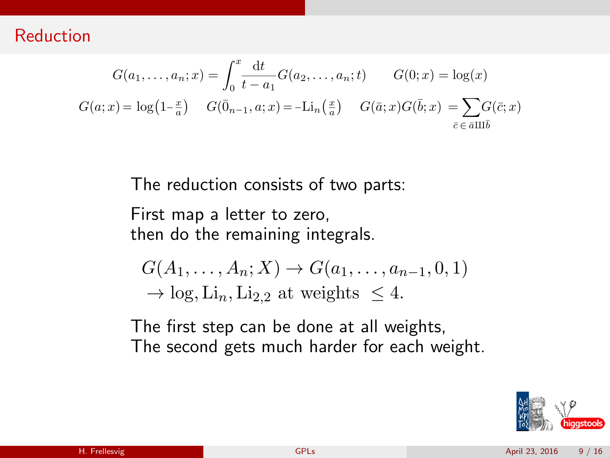$$
G(a_1, ..., a_n; x) = \int_0^x \frac{dt}{t - a_1} G(a_2, ..., a_n; t) \qquad G(0; x) = \log(x)
$$
  

$$
G(a; x) = \log(1 - \frac{x}{a}) \qquad G(\bar{0}_{n-1}, a; x) = -\text{Li}_n(\frac{x}{a}) \qquad G(\bar{a}; x)G(\bar{b}; x) = \sum_{\bar{c} \in \bar{a} \amalg \bar{b}} G(\bar{c}; x)
$$

The reduction consists of two parts:

First map a letter to zero, then do the remaining integrals.

$$
G(A_1, \ldots, A_n; X) \to G(a_1, \ldots, a_{n-1}, 0, 1)
$$
  
\n
$$
\to \log, \text{Li}_n, \text{Li}_{2,2} \text{ at weights } \leq 4.
$$

The first step can be done at all weights, The second gets much harder for each weight.

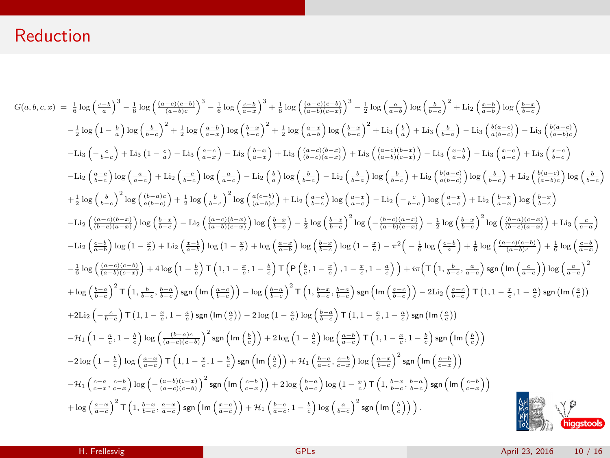$$
G(a,b,c,x) = \frac{1}{6} \log \left(\frac{c-b}{a}\right)^3 - \frac{1}{6} \log \left(\frac{c-c}{a-b}-\right)^3 - \frac{1}{6} \log \left(\frac{c-c}{a}\right)^3 + \frac{1}{6} \log \left(\frac{c-c}{a}\right)^2 + \frac{1}{2} \log \left(\frac{a-c}{a}\right) \log \left(\frac{b-c}{b}\right)^2 + \frac{1}{2} \log \left(\frac{a-c}{a}\right) \log \left(\frac{b-c}{b}\right)^2 + \frac{1}{2} \log \left(\frac{a-c}{b}\right) \log \left(\frac{b-c}{b}\right)^2 + \frac{1}{2} \log \left(\frac{a-c}{b}\right) \log \left(\frac{b-c}{b}\right)^2 + \frac{1}{2} \log \left(\frac{a-c}{b}\right) \log \left(\frac{b-c}{b}\right)^2 + \frac{1}{2} \log \left(\frac{a-c}{b}\right) \log \left(\frac{b-c}{b}\right)^2 + \frac{1}{2} \log \left(\frac{a-c}{b}\right) \log \left(\frac{b-c}{b}\right)^2 + \frac{1}{2} \log \left(\frac{a-c}{b}\right) \log \left(\frac{b-c}{b}\right)^2 + \frac{1}{2} \log \left(\frac{a-c}{b}\right) \log \left(\frac{b-c}{b}\right)^2 + \frac{1}{2} \log \left(\frac{a-c}{b}\right) \log \left(\frac{b-c}{b}\right)^2 + \frac{1}{2} \log \left(\frac{a-c}{b}\right) \log \left(\frac{b-c}{b}\right) + \frac{1}{2} \log \left(\frac{a-c}{b}\right) \log \left(\frac{b-c}{b}\right) - \frac{1}{2} \log \left(\frac{a-c}{b}\right) \log \left(\frac{b-c}{b}\right) - \frac{1}{2} \log \left(\frac{a-c}{b}\right) \log \left(\frac{b-c}{b}\right)^2 + \frac{1}{2} \log \left(\frac{a-c}{b}\right) \log \left(\frac{b-c}{b}\right) + \frac{1}{2} \log \left(\frac{a-c}{b}\right) \log \left(\frac{b-c}{b}\right) + \frac{1}{2} \log \left(\frac{b-c}{b}\right) \log \left(\frac{b-c}{b}\right) \log \left(\frac{b-c}{b}\right) - \frac{1}{2} \log \left(\frac{a-c}{b}\right)
$$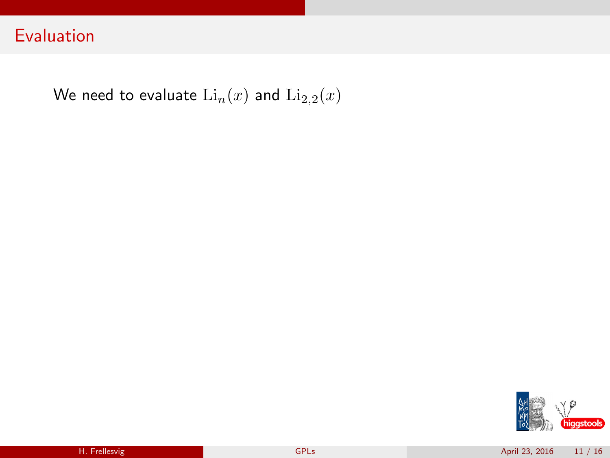We need to evaluate  $\text{Li}_n(x)$  and  $\text{Li}_{2,2}(x)$ 

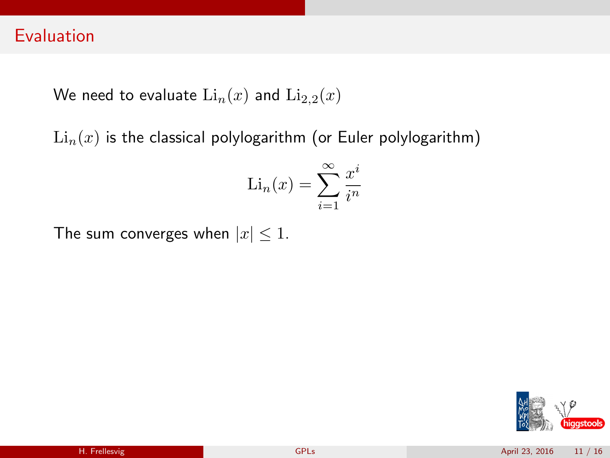We need to evaluate  $\text{Li}_n(x)$  and  $\text{Li}_{2,2}(x)$ 

 $\text{Li}_n(x)$  is the classical polylogarithm (or Euler polylogarithm)

$$
\mathrm{Li}_n(x) = \sum_{i=1}^{\infty} \frac{x^i}{i^n}
$$

The sum converges when  $|x| \leq 1$ .

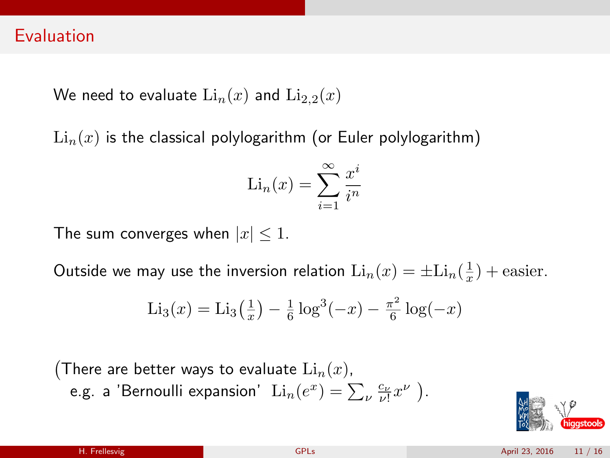We need to evaluate  $\text{Li}_n(x)$  and  $\text{Li}_{2,2}(x)$ 

 $\text{Li}_{n}(x)$  is the classical polylogarithm (or Euler polylogarithm)

$$
\mathrm{Li}_n(x) = \sum_{i=1}^{\infty} \frac{x^i}{i^n}
$$

The sum converges when  $|x| \leq 1$ .

Outside we may use the inversion relation  $\text{Li}_n(x) = \pm \text{Li}_n(\frac{1}{x}) + \text{easier}.$ 

$$
Li_3(x) = Li_3(\frac{1}{x}) - \frac{1}{6}\log^3(-x) - \frac{\pi^2}{6}\log(-x)
$$

(There are better ways to evaluate  $\mathrm{Li}_{n}(x)$ , e.g. a 'Bernoulli expansion'  $\text{Li}_n(e^x) = \sum_{\nu} \frac{c_{\nu}}{\nu!} x^{\nu}$  ).

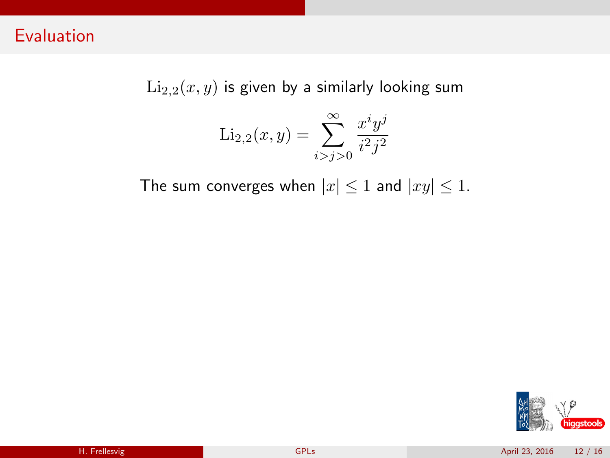$Li_{2,2}(x, y)$  is given by a similarly looking sum

$$
\text{Li}_{2,2}(x,y) = \sum_{i>j>0}^{\infty} \frac{x^i y^j}{i^2 j^2}
$$

The sum converges when  $|x| \leq 1$  and  $|xy| \leq 1$ .

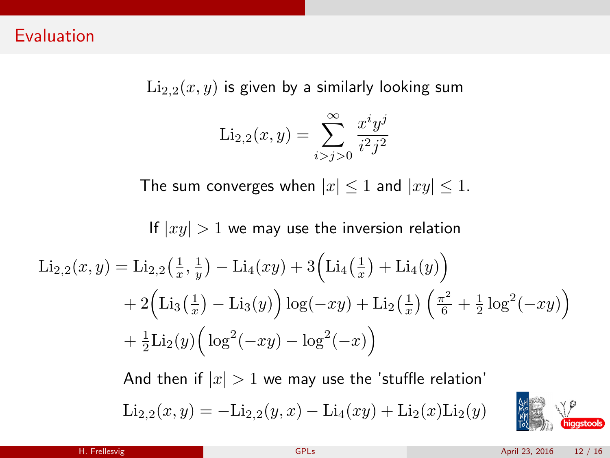$\text{Li}_{2,2}(x, y)$  is given by a similarly looking sum

$$
\text{Li}_{2,2}(x,y) = \sum_{i>j>0}^{\infty} \frac{x^i y^j}{i^2 j^2}
$$

The sum converges when  $|x| \leq 1$  and  $|xy| \leq 1$ .

### If  $|xy| > 1$  we may use the inversion relation

$$
\text{Li}_{2,2}(x,y) = \text{Li}_{2,2}\left(\frac{1}{x},\frac{1}{y}\right) - \text{Li}_{4}(xy) + 3\left(\text{Li}_{4}\left(\frac{1}{x}\right) + \text{Li}_{4}(y)\right) \n+ 2\left(\text{Li}_{3}\left(\frac{1}{x}\right) - \text{Li}_{3}(y)\right)\log(-xy) + \text{Li}_{2}\left(\frac{1}{x}\right)\left(\frac{\pi^{2}}{6} + \frac{1}{2}\log^{2}(-xy)\right) \n+ \frac{1}{2}\text{Li}_{2}(y)\left(\log^{2}(-xy) - \log^{2}(-x)\right)
$$

And then if  $|x| > 1$  we may use the 'stuffle relation'  $\text{Li}_{2,2}(x,y) = -\text{Li}_{2,2}(y,x) - \text{Li}_{4}(xy) + \text{Li}_{2}(x)\text{Li}_{2}(y)$ 

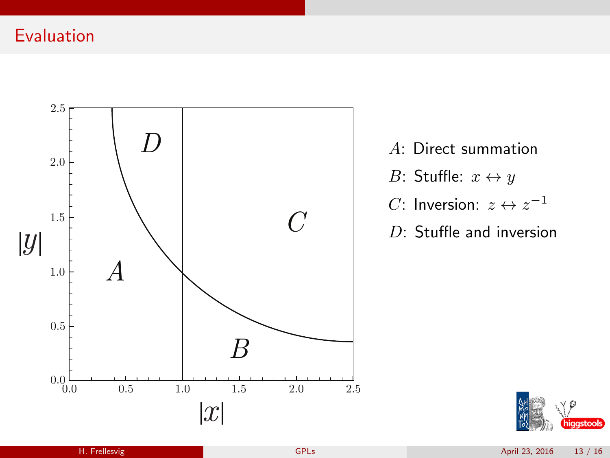

- A: Direct summation B: Stuffle:  $x \leftrightarrow y$ *C*: Inversion:  $z \leftrightarrow z^{-1}$
- D: Stuffle and inversion

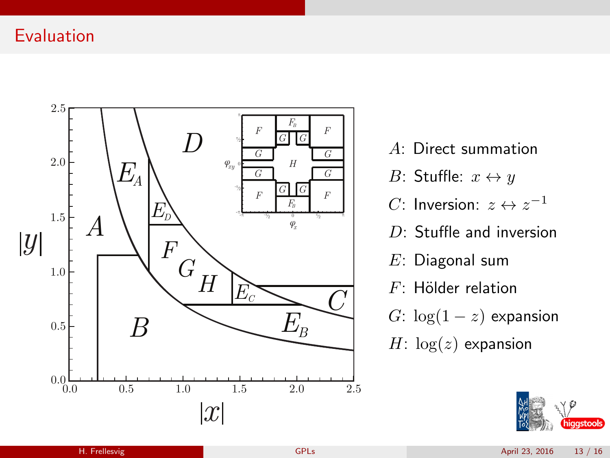

- A: Direct summation
- B: Stuffle:  $x \leftrightarrow y$
- *C*: Inversion:  $z \leftrightarrow z^{-1}$
- $D<sup>+</sup>$  Stuffle and inversion
- E: Diagonal sum
- $F$ : Hölder relation
- G:  $\log(1-z)$  expansion
- $H: \log(z)$  expansion

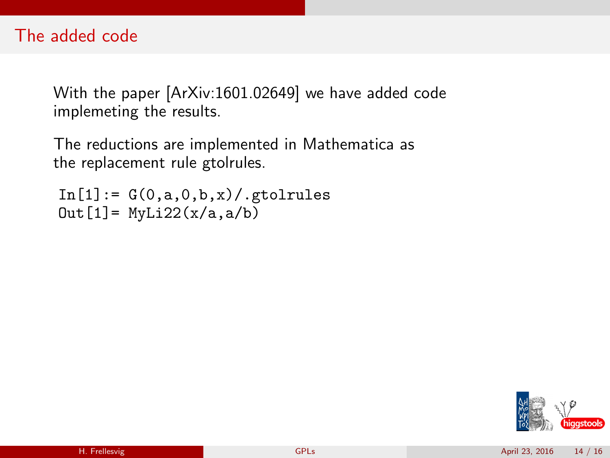### The added code

With the paper [ArXiv:1601.02649] we have added code implemeting the results.

The reductions are implemented in Mathematica as the replacement rule gtolrules.

 $In [1]: = G(0,a,0,b,x)/$ .gtolrules  $Out[1] = MyLi22(x/a, a/b)$ 

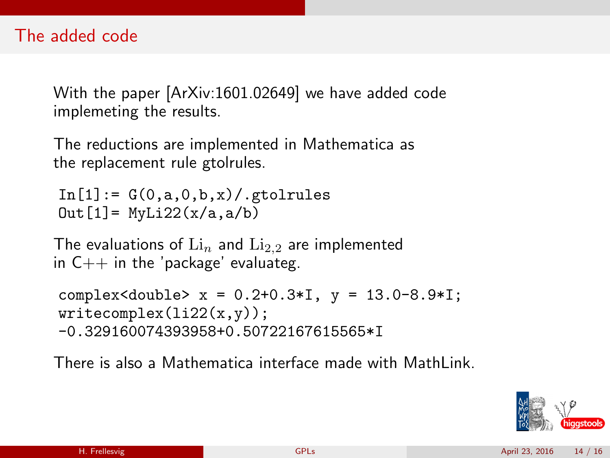With the paper [ArXiv:1601.02649] we have added code implemeting the results.

The reductions are implemented in Mathematica as the replacement rule gtolrules.

 $In [1]: = G(0,a,0,b,x)$ , gtolrules  $Out[1] = MyLi22(x/a, a/b)$ 

The evaluations of  $\mathrm{Li}_{n}$  and  $\mathrm{Li}_{2,2}$  are implemented in  $C++$  in the 'package' evaluateg.

complex<double> x = 0.2+0.3\*I, y = 13.0-8.9\*I;  $writecomplex(i122(x,y));$ -0.329160074393958+0.50722167615565\*I

There is also a Mathematica interface made with MathLink.

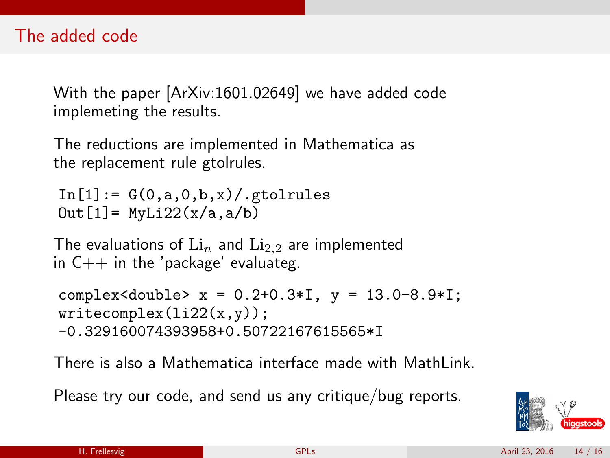With the paper [ArXiv:1601.02649] we have added code implemeting the results.

The reductions are implemented in Mathematica as the replacement rule gtolrules.

 $In [1]: = G(0,a,0,b,x)$ , gtolrules  $Out[1] = MyLi22(x/a, a/b)$ 

The evaluations of  $\mathrm{Li}_{n}$  and  $\mathrm{Li}_{2,2}$  are implemented in  $C++$  in the 'package' evaluateg.

complex<double> x = 0.2+0.3\*I, y = 13.0-8.9\*I;  $writecomplex(i122(x,y));$ -0.329160074393958+0.50722167615565\*I

There is also a Mathematica interface made with MathLink.

Please try our code, and send us any critique/bug reports.

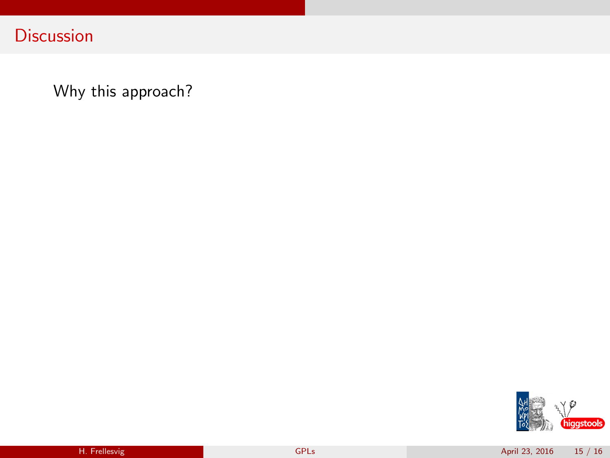**Discussion** 

Why this approach?

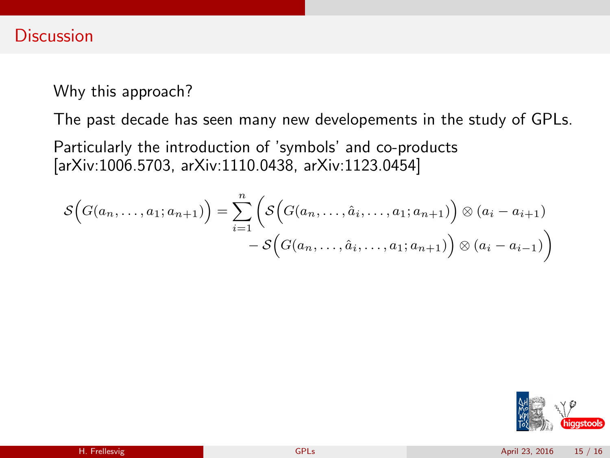Why this approach?

The past decade has seen many new developements in the study of GPLs.

Particularly the introduction of 'symbols' and co-products [arXiv:1006.5703, arXiv:1110.0438, arXiv:1123.0454]

$$
\mathcal{S}\Big(G(a_n,\ldots,a_1;a_{n+1})\Big)=\sum_{i=1}^n\bigg(\mathcal{S}\Big(G(a_n,\ldots,\hat{a}_i,\ldots,a_1;a_{n+1})\Big)\otimes(a_i-a_{i+1})-\mathcal{S}\Big(G(a_n,\ldots,\hat{a}_i,\ldots,a_1;a_{n+1})\Big)\otimes(a_i-a_{i-1})\bigg)
$$

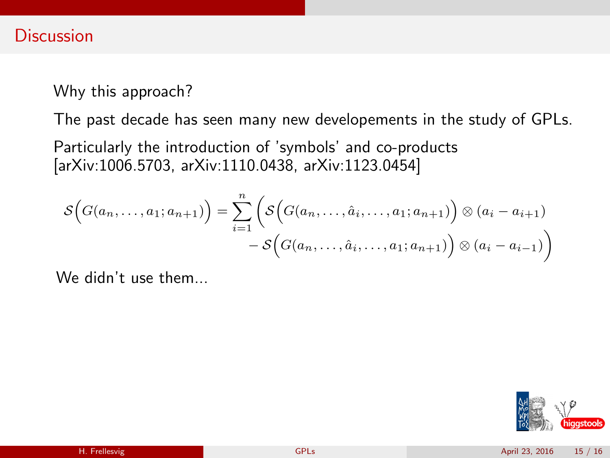Why this approach?

The past decade has seen many new developements in the study of GPLs.

Particularly the introduction of 'symbols' and co-products [arXiv:1006.5703, arXiv:1110.0438, arXiv:1123.0454]

$$
\mathcal{S}\Big(G(a_n,\ldots,a_1;a_{n+1})\Big)=\sum_{i=1}^n\bigg(\mathcal{S}\Big(G(a_n,\ldots,\hat{a}_i,\ldots,a_1;a_{n+1})\Big)\otimes(a_i-a_{i+1})-\mathcal{S}\Big(G(a_n,\ldots,\hat{a}_i,\ldots,a_1;a_{n+1})\Big)\otimes(a_i-a_{i-1})\bigg)
$$

We didn't use them.

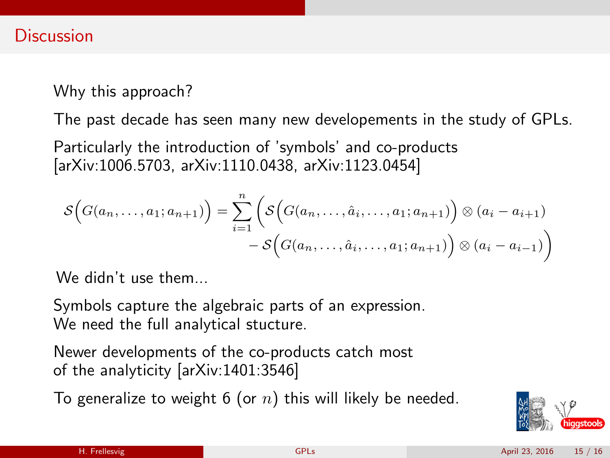Why this approach?

The past decade has seen many new developements in the study of GPLs.

Particularly the introduction of 'symbols' and co-products [arXiv:1006.5703, arXiv:1110.0438, arXiv:1123.0454]

$$
\mathcal{S}\Big(G(a_n,\ldots,a_1;a_{n+1})\Big)=\sum_{i=1}^n\bigg(\mathcal{S}\Big(G(a_n,\ldots,\hat{a}_i,\ldots,a_1;a_{n+1})\Big)\otimes(a_i-a_{i+1})-\mathcal{S}\Big(G(a_n,\ldots,\hat{a}_i,\ldots,a_1;a_{n+1})\Big)\otimes(a_i-a_{i-1})\bigg)
$$

 $W_{\mathsf{P}}$  didn't use them.

Symbols capture the algebraic parts of an expression. We need the full analytical stucture.

Newer developments of the co-products catch most of the analyticity [arXiv:1401:3546]

To generalize to weight 6 (or  $n$ ) this will likely be needed.

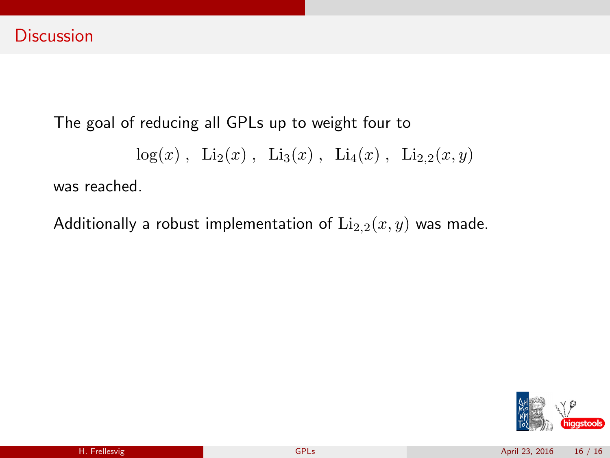$log(x)$ ,  $Li_2(x)$ ,  $Li_3(x)$ ,  $Li_4(x)$ ,  $Li_{2,2}(x, y)$ 

was reached.

Additionally a robust implementation of  $\text{Li}_{2,2}(x, y)$  was made.

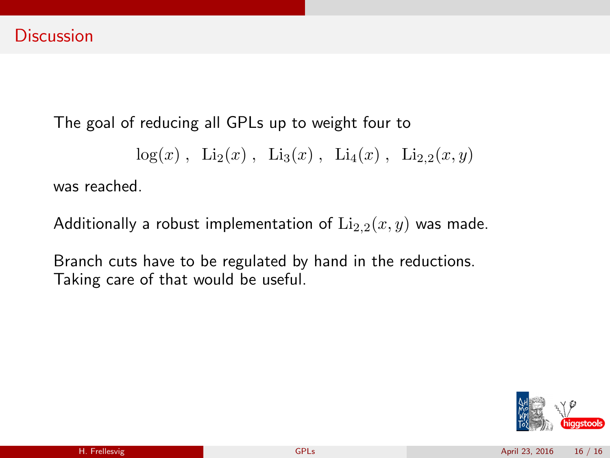$$
log(x)
$$
,  $Li_2(x)$ ,  $Li_3(x)$ ,  $Li_4(x)$ ,  $Li_{2,2}(x, y)$ 

was reached.

Additionally a robust implementation of  $\text{Li}_{2,2}(x, y)$  was made.

Branch cuts have to be regulated by hand in the reductions. Taking care of that would be useful.

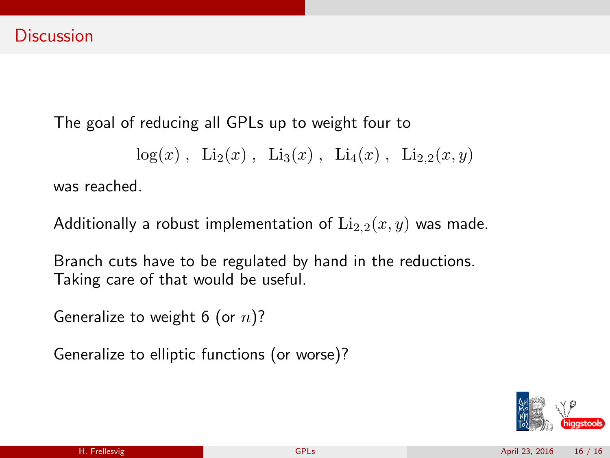$$
log(x)
$$
,  $Li_2(x)$ ,  $Li_3(x)$ ,  $Li_4(x)$ ,  $Li_{2,2}(x, y)$ 

was reached.

Additionally a robust implementation of  $\text{Li}_{2,2}(x, y)$  was made.

Branch cuts have to be regulated by hand in the reductions. Taking care of that would be useful.

Generalize to weight 6 (or  $n$ )?

Generalize to elliptic functions (or worse)?